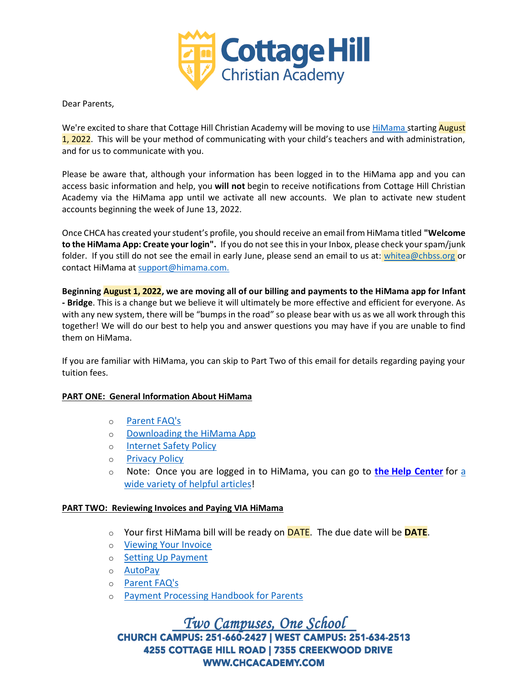

Dear Parents,

We're excited to share that Cottage Hill Christian Academy will be moving to use [HiMama s](https://contact.himama.com/t/102520/c/9af259a0-b1b2-4626-a640-66dade65cf28/NB2HI4DTHIXS653XO4XGQ2LNMFWWCLTDN5WT643COJRT2MLXJBKHUYSXJFRDQ43MLJWU62CJKRIVSLJVIESTGRBFGNCCKMRUMFTDQYLJO5CWMVDNHFRGWSDGOQYGIMBXK5ISKM2EEUZUI===/www-himama-com)tarting August 1, 2022. This will be your method of communicating with your child's teachers and with administration, and for us to communicate with you.

Please be aware that, although your information has been logged in to the HiMama app and you can access basic information and help, you **will not** begin to receive notifications from Cottage Hill Christian Academy via the HiMama app until we activate all new accounts. We plan to activate new student accounts beginning the week of June 13, 2022.

Once CHCA has created your student's profile, you should receive an email from HiMama titled **"Welcome**  to the HiMama App: Create your login". If you do not see this in your Inbox, please check your spam/junk folder. If you still do not see the email in early June, please send an email to us at: [whitea@chbss.org](mailto:whitea@chbss.org) or contact HiMama at [support@himama.com.](mailto:support@himama.com)

**Beginning August 1, 2022, we are moving all of our billing and payments to the HiMama app for Infant - Bridge**. This is a change but we believe it will ultimately be more effective and efficient for everyone. As with any new system, there will be "bumps in the road" so please bear with us as we all work through this together! We will do our best to help you and answer questions you may have if you are unable to find them on HiMama.

If you are familiar with HiMama, you can skip to Part Two of this email for details regarding paying your tuition fees.

## **PART ONE: General Information About HiMama**

- o [Parent FAQ's](https://contact.himama.com/t/102520/c/9af259a0-b1b2-4626-a640-66dade65cf28/NB2HI4DTHIXS653XO4XGQ2LNMFWWCLTDN5WS6RSBKE7XGYTSMM6TC4K2IE4WYZZSNAZU6M3ILJTUE6KYKFJWQV3XEUZUIJJTIQSTENCGN4WW2ODMJJDUQU3UGVRWCOLZIJFTGX3GM4STGRBFGNCCM43COJRT2MLXJBKHUYSXJFRDQ43MLJWU62CJKRIVSLJVIESTGRBFGNCCKMRUMFTDQYLJO5CWMVDNHFRGWSDGOQYGIMBXK5ISKM2EEUZUII3QMFZGK3TU/www-himama-com-faq)
- o [Downloading the HiMama App](https://contact.himama.com/t/102520/c/9af259a0-b1b2-4626-a640-66dade65cf28/NB2HI4DTHIXS643VOBYG64TUFZUGS3LBNVQS4Y3PNUXXGL3BOJ2GSY3MMUXUQ33XFV2G6LKEN53W43DPMFSC25DIMUWUQ2KNMFWWCLKBOBYD643COJRT2MLRLJATS3DHGJUDGTZTNBNGOQTZLBIVG2CXO4STGRBFGNCCKMRUIZXS23JYNRFEOSCTOQ2WGYJZPFBEWM27MZTSKM2EEUZUIJTTMJZGGPJRO5EFI6TCK5EWEODTNRNG2T3IJFKFCWJNGVASKM2EEUZUIJJSGRQWMODBNF3UKZSUNU4WE22IMZ2DAZBQG5LVCJJTIQSTGRA=/support-himama-com-s-article-how-to-download-the-himama-app)
- o [Internet Safety Policy](https://contact.himama.com/t/102520/c/9af259a0-b1b2-4626-a640-66dade65cf28/NB2HI4DTHIXS653XO4XGQ2LNMFWWCLTDN5WS62LOORSXE3TFOQWXGYLGMV2HSP3TMJZGGPJROFNECOLMM4ZGQM2PGNUFUZ2CPFMFCU3IK53SKM2EEUZUIJJSGRDG6LLNHBWEUR2IKN2DKY3BHF4UESZTL5TGOJJTIQSTGRBGONRHEYZ5GF3UQVD2MJLUSYRYONWFU3KPNBEVIUKZFU2UCJJTIQSTGRBFGI2GCZRYMFUXORLGKRWTSYTLJBTHIMDEGA3VOUJFGNCCKM2E/www-himama-com-internet-safety)
- o [Privacy Policy](https://contact.himama.com/t/102520/c/9af259a0-b1b2-4626-a640-66dade65cf28/NB2HI4DTHIXS653XO4XGQ2LNMFWWCLTDN5WS64DSNF3GCY3ZH5ZWE4TDHUYXCWSBHFWGOMTIGNHTG2C2M5BHSWCRKNUFO5ZFGNCCKM2EEUZDIRTPFVWTQ3CKI5EFG5BVMNQTS6KCJMZV6ZTHEUZUIJJTIQTHGYTSMM6TC52IKR5GEV2JMI4HG3C2NVHWQSKUKFMS2NKBEUZUIJJTIQSTENDBMY4GC2LXIVTFI3JZMJVUQZTUGBSDAN2XKESTGRBFGNCA====/www-himama-com-privacy)
- o Note: Once you are logged in to HiMama, you can go to **the [Help Center](https://contact.himama.com/t/102520/c/9af259a0-b1b2-4626-a640-66dade65cf28/NB2HI4DTHIXS643VOBYG64TUFZUGS3LBNVQS4Y3PNUXXGLZ7ONRHEYZ5GF3UQVD2MJLUSYRYONWFU3KPNBEVIUKZFU2UCJJTIQSTGRBFGI2GCZRYMFUXORLGKRWTSYTLJBTHIMDEGA3VOUJFGNCCKM2E/support-himama-com-s)** for [a](https://contact.himama.com/t/102520/c/9af259a0-b1b2-4626-a640-66dade65cf28/NB2HI4DTHIXS643VOBYG64TUFZUGS3LBNVQS4Y3PNUXXGL3QMFZGK3TUFVTXK2LEMVZT643COJRT2MLXJBKHUYSXJFRDQ43MLJWU62CJKRIVSLJVIESTGRBFGNCCKMRUMFTDQYLJO5CWMVDNHFRGWSDGOQYGIMBXK5ISKM2EEUZUI===/support-himama-com-s-parent-guides)  [wide variety of helpful articles!](https://contact.himama.com/t/102520/c/9af259a0-b1b2-4626-a640-66dade65cf28/NB2HI4DTHIXS643VOBYG64TUFZUGS3LBNVQS4Y3PNUXXGL3QMFZGK3TUFVTXK2LEMVZT643COJRT2MLXJBKHUYSXJFRDQ43MLJWU62CJKRIVSLJVIESTGRBFGNCCKMRUMFTDQYLJO5CWMVDNHFRGWSDGOQYGIMBXK5ISKM2EEUZUI===/support-himama-com-s-parent-guides)

## **PART TWO: Reviewing Invoices and Paying VIA HiMama**

- o Your first HiMama bill will be ready on DATE. The due date will be **DATE**.
- o [Viewing Your Invoice](https://contact.himama.com/t/102520/c/9af259a0-b1b2-4626-a640-66dade65cf28/NB2HI4DTHIXS643VOBYG64TUFZUGS3LBNVQS4Y3PNUXXGL3BOJ2GSY3MMUXXM2LFO5UW4ZZNJFXHM33JMNSXGP3TMJZGGPJRO5EFI6TCK5EWEODTNRNG2T3IJFKFCWJNGVASKM2EEUZUIJJSGRQWMODBNF3UKZSUNU4WE22IMZ2DAZBQG5LVCJJTIQSTGRA=/support-himama-com-s-article-viewing-invoices)
- o [Setting Up Payment](https://contact.himama.com/t/102520/c/9af259a0-b1b2-4626-a640-66dade65cf28/NB2HI4DTHIXS643VOBYG64TUFZUGS3LBNVQS4Y3PNUXXGL3BOJ2GSY3MMUXVK4DEMF2GS3THFVMW65LSFVBGS3DMNFXGOLKJNZTG64TNMF2GS33OH5ZWE4TDHUYXOSCUPJRFOSLCHBZWYWTNJ5UESVCRLEWTKQJFGNCCKM2EEUZDIYLGHBQWS52FMZKG2OLCNNEGM5BQMQYDOV2REUZUIJJTIQ======/support-himama-com-s-article-updating-your-billing-information)
- o [AutoPay](https://contact.himama.com/t/102520/c/9af259a0-b1b2-4626-a640-66dade65cf28/NB2HI4DTHIXS643VOBYG64TUFZUGS3LBNVQS4Y3PNUXXGL3BOJ2GSY3MMUXUQ33XFV2G6LLDNBSWG2ZNORUGKLKBOV2G6LKQMF4S233QORUW63R7ONRHEYZ5GF3UQVD2MJLUSYRYONWFU3KPNBEVIUKZFU2UCJJTIQSTGRBFGI2GCZRYMFUXORLGKRWTSYTLJBTHIMDEGA3VOUJFGNCCKM2E/support-himama-com-s-article-how-to-check-the-auto-pay-option)
- o [Parent FAQ's](https://contact.himama.com/t/102520/c/9af259a0-b1b2-4626-a640-66dade65cf28/NB2HI4DTHIXS653XO4XGQ2LNMFWWCLTDN5WS6RSBKE7XGYTSMM6TC4K2IE4WYZZSNAZU6M3ILJTUE6KYKFJWQV3XEUZUIJJTIQSTENCGN4WW2ODMJJDUQU3UGVRWCOLZIJFTGX3GM4STGRBFGNCCM43COJRT2MLXJBKHUYSXJFRDQ43MLJWU62CJKRIVSLJVIESTGRBFGNCCKMRUMFTDQYLJO5CWMVDNHFRGWSDGOQYGIMBXK5ISKM2EEUZUII3QMFZGK3TU/www-himama-com-faq)
- o [Payment Processing Handbook for Parents](https://contact.himama.com/t/102520/c/9af259a0-b1b2-4626-a640-66dade65cf28/NB2HI4DTHIXS63LBOJVWK5DJNZTS24DVMJWGSYZNMRXXO3TMN5QWI4ZOOMZS4YLNMF5G63TBO5ZS4Y3PNUXVI2DFFNEGSTLBNVQSWUDBPFWWK3TUOMVVAYLSMVXHIK2HOVUWIZJOOBSGM===/marketing-public-downloads-s3-amazonaws-com-the-himama-payments-parent-guid)

Two Campuses, One School CHURCH CAMPUS: 251-660-2427 | WEST CAMPUS: 251-634-2513 4255 COTTAGE HILL ROAD | 7355 CREEKWOOD DRIVE **WWW.CHCACADEMY.COM**